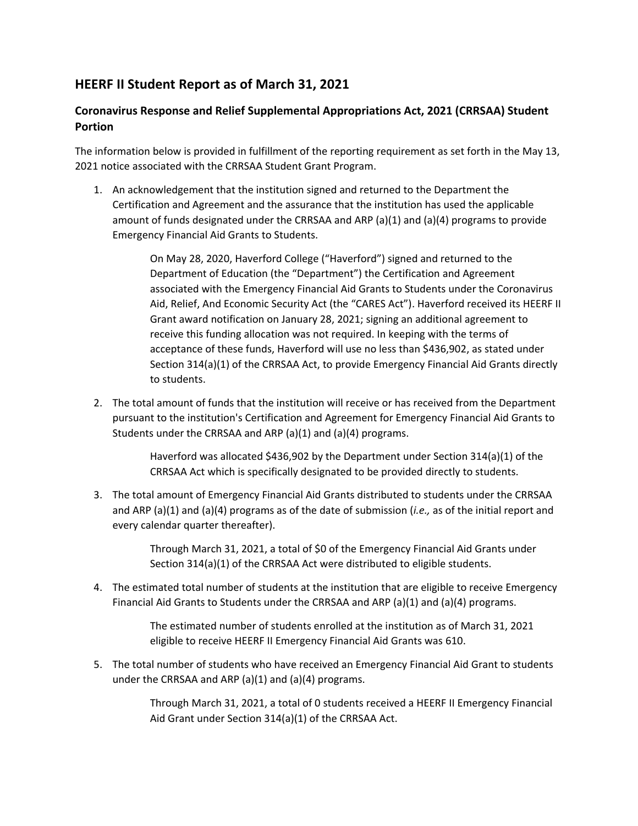## **HEERF II Student Report as of March 31, 2021**

## **Coronavirus Response and Relief Supplemental Appropriations Act, 2021 (CRRSAA) Student Portion**

The information below is provided in fulfillment of the reporting requirement as set forth in the May 13, 2021 notice associated with the CRRSAA Student Grant Program.

1. An acknowledgement that the institution signed and returned to the Department the Certification and Agreement and the assurance that the institution has used the applicable amount of funds designated under the CRRSAA and ARP (a)(1) and (a)(4) programs to provide Emergency Financial Aid Grants to Students.

> On May 28, 2020, Haverford College ("Haverford") signed and returned to the Department of Education (the "Department") the Certification and Agreement associated with the Emergency Financial Aid Grants to Students under the Coronavirus Aid, Relief, And Economic Security Act (the "CARES Act"). Haverford received its HEERF II Grant award notification on January 28, 2021; signing an additional agreement to receive this funding allocation was not required. In keeping with the terms of acceptance of these funds, Haverford will use no less than \$436,902, as stated under Section 314(a)(1) of the CRRSAA Act, to provide Emergency Financial Aid Grants directly to students.

2. The total amount of funds that the institution will receive or has received from the Department pursuant to the institution's Certification and Agreement for Emergency Financial Aid Grants to Students under the CRRSAA and ARP (a)(1) and (a)(4) programs.

> Haverford was allocated \$436,902 by the Department under Section 314(a)(1) of the CRRSAA Act which is specifically designated to be provided directly to students.

3. The total amount of Emergency Financial Aid Grants distributed to students under the CRRSAA and ARP (a)(1) and (a)(4) programs as of the date of submission (*i.e.,* as of the initial report and every calendar quarter thereafter).

> Through March 31, 2021, a total of \$0 of the Emergency Financial Aid Grants under Section 314(a)(1) of the CRRSAA Act were distributed to eligible students.

4. The estimated total number of students at the institution that are eligible to receive Emergency Financial Aid Grants to Students under the CRRSAA and ARP (a)(1) and (a)(4) programs.

> The estimated number of students enrolled at the institution as of March 31, 2021 eligible to receive HEERF II Emergency Financial Aid Grants was 610.

5. The total number of students who have received an Emergency Financial Aid Grant to students under the CRRSAA and ARP  $(a)(1)$  and  $(a)(4)$  programs.

> Through March 31, 2021, a total of 0 students received a HEERF II Emergency Financial Aid Grant under Section 314(a)(1) of the CRRSAA Act.